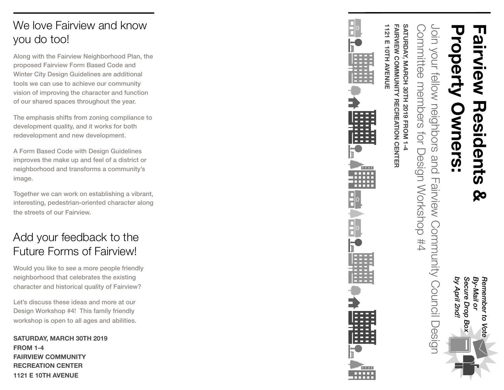## We love Fairview and know you do too!

Along with the Fairview Neighborhood Plan, the proposed Fairview Form Based Code and Winter City Design Guidelines are additional tools we can use to achieve our community vision of improving the character and function of our shared spaces throughout the year.

The emphasis shifts from zoning compliance to development quality, and it works for both redevelopment and new development.

A Form Based Code with Design Guidelines improves the make up and feel of a district or neighborhood and transforms a community's image.

Together we can work on establishing a vibrant, interesting, pedestrian-oriented character along the streets of our Fairview.

## Add your feedback to the Future Forms of Fairview!

Would you like to see a more people friendly neighborhood that celebrates the existing character and historical quality of Fairview?

Let's discuss these ideas and more at our Design Workshop #4! This family friendly workshop is open to all ages and abilities.

**SATURDAY, MARCH 30TH 2019 FROM 1-4 FAIRVIEW COMMUNITY RECREATION CENTER 1121 E 10TH AVENUE**



*Remember to Vote* 

Vote

Remember to